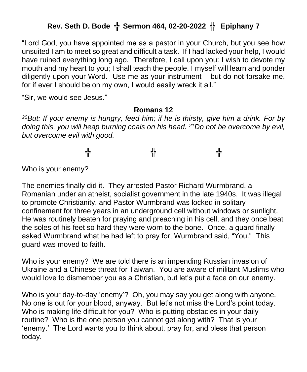## **Rev. Seth D. Bode** ╬ **Sermon 464, 02-20-2022** ╬ **Epiphany 7**

"Lord God, you have appointed me as a pastor in your Church, but you see how unsuited I am to meet so great and difficult a task. If I had lacked your help, I would have ruined everything long ago. Therefore, I call upon you: I wish to devote my mouth and my heart to you; I shall teach the people. I myself will learn and ponder diligently upon your Word. Use me as your instrument – but do not forsake me, for if ever I should be on my own, I would easily wreck it all."

"Sir, we would see Jesus."

#### **Romans 12**

*<sup>20</sup>But: If your enemy is hungry, feed him; if he is thirsty, give him a drink. For by doing this, you will heap burning coals on his head. <sup>21</sup>Do not be overcome by evil, but overcome evil with good.*

╬ ╬ ╬ ╬

Who is your enemy?

The enemies finally did it. They arrested Pastor Richard Wurmbrand, a Romanian under an atheist, socialist government in the late 1940s. It was illegal to promote Christianity, and Pastor Wurmbrand was locked in solitary confinement for three years in an underground cell without windows or sunlight. He was routinely beaten for praying and preaching in his cell, and they once beat the soles of his feet so hard they were worn to the bone. Once, a guard finally asked Wurmbrand what he had left to pray for, Wurmbrand said, "You." This guard was moved to faith.

Who is your enemy? We are told there is an impending Russian invasion of Ukraine and a Chinese threat for Taiwan. You are aware of militant Muslims who would love to dismember you as a Christian, but let's put a face on our enemy.

Who is your day-to-day 'enemy'? Oh, you may say you get along with anyone. No one is out for your blood, anyway. But let's not miss the Lord's point today. Who is making life difficult for you? Who is putting obstacles in your daily routine? Who is the one person you cannot get along with? That is your 'enemy.' The Lord wants you to think about, pray for, and bless that person today.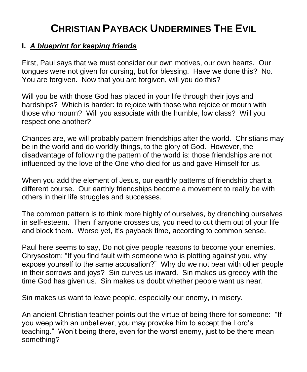# **CHRISTIAN PAYBACK UNDERMINES THE EVIL**

## **I.** *A blueprint for keeping friends*

First, Paul says that we must consider our own motives, our own hearts. Our tongues were not given for cursing, but for blessing. Have we done this? No. You are forgiven. Now that you are forgiven, will you do this?

Will you be with those God has placed in your life through their joys and hardships? Which is harder: to rejoice with those who rejoice or mourn with those who mourn? Will you associate with the humble, low class? Will you respect one another?

Chances are, we will probably pattern friendships after the world. Christians may be in the world and do worldly things, to the glory of God. However, the disadvantage of following the pattern of the world is: those friendships are not influenced by the love of the One who died for us and gave Himself for us.

When you add the element of Jesus, our earthly patterns of friendship chart a different course. Our earthly friendships become a movement to really be with others in their life struggles and successes.

The common pattern is to think more highly of ourselves, by drenching ourselves in self-esteem. Then if anyone crosses us, you need to cut them out of your life and block them. Worse yet, it's payback time, according to common sense.

Paul here seems to say, Do not give people reasons to become your enemies. Chrysostom: "If you find fault with someone who is plotting against you, why expose yourself to the same accusation?" Why do we not bear with other people in their sorrows and joys? Sin curves us inward. Sin makes us greedy with the time God has given us. Sin makes us doubt whether people want us near.

Sin makes us want to leave people, especially our enemy, in misery.

An ancient Christian teacher points out the virtue of being there for someone: "If you weep with an unbeliever, you may provoke him to accept the Lord's teaching." Won't being there, even for the worst enemy, just to be there mean something?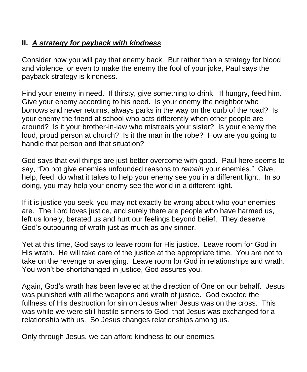### **II.** *A strategy for payback with kindness*

Consider how you will pay that enemy back. But rather than a strategy for blood and violence, or even to make the enemy the fool of your joke, Paul says the payback strategy is kindness.

Find your enemy in need. If thirsty, give something to drink. If hungry, feed him. Give your enemy according to his need. Is your enemy the neighbor who borrows and never returns, always parks in the way on the curb of the road? Is your enemy the friend at school who acts differently when other people are around? Is it your brother-in-law who mistreats your sister? Is your enemy the loud, proud person at church? Is it the man in the robe? How are you going to handle that person and that situation?

God says that evil things are just better overcome with good. Paul here seems to say, "Do not give enemies unfounded reasons to *remain* your enemies." Give, help, feed, do what it takes to help your enemy see you in a different light. In so doing, you may help your enemy see the world in a different light.

If it is justice you seek, you may not exactly be wrong about who your enemies are. The Lord loves justice, and surely there are people who have harmed us, left us lonely, berated us and hurt our feelings beyond belief. They deserve God's outpouring of wrath just as much as any sinner.

Yet at this time, God says to leave room for His justice. Leave room for God in His wrath. He will take care of the justice at the appropriate time. You are not to take on the revenge or avenging. Leave room for God in relationships and wrath. You won't be shortchanged in justice, God assures you.

Again, God's wrath has been leveled at the direction of One on our behalf. Jesus was punished with all the weapons and wrath of justice. God exacted the fullness of His destruction for sin on Jesus when Jesus was on the cross. This was while we were still hostile sinners to God, that Jesus was exchanged for a relationship with us. So Jesus changes relationships among us.

Only through Jesus, we can afford kindness to our enemies.